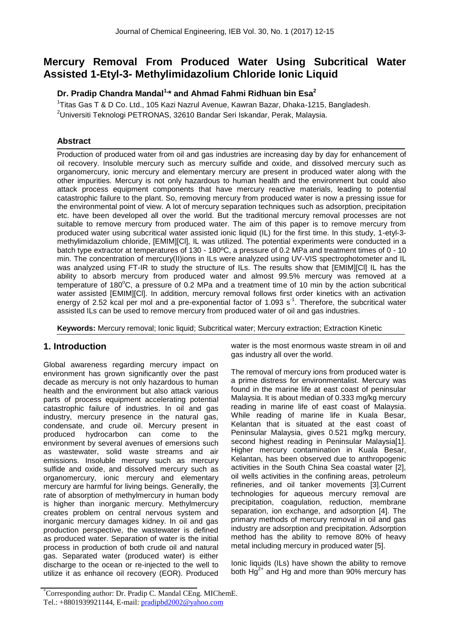# **Mercury Removal From Produced Water Using Subcritical Water Assisted 1-Etyl-3- Methylimidazolium Chloride Ionic Liquid**

## **Dr. Pradip Chandra Mandal1,\* and Ahmad Fahmi Ridhuan bin Esa<sup>2</sup>**

<sup>1</sup>Titas Gas T & D Co. Ltd., 105 Kazi Nazrul Avenue, Kawran Bazar, Dhaka-1215, Bangladesh.  $2$ Universiti Teknologi PETRONAS, 32610 Bandar Seri Iskandar, Perak, Malaysia.

## **Abstract**

Production of produced water from oil and gas industries are increasing day by day for enhancement of oil recovery. Insoluble mercury such as mercury sulfide and oxide, and dissolved mercury such as organomercury, ionic mercury and elementary mercury are present in produced water along with the other impurities. Mercury is not only hazardous to human health and the environment but could also attack process equipment components that have mercury reactive materials, leading to potential catastrophic failure to the plant. So, removing mercury from produced water is now a pressing issue for the environmental point of view. A lot of mercury separation techniques such as adsorption, precipitation etc. have been developed all over the world. But the traditional mercury removal processes are not suitable to remove mercury from produced water. The aim of this paper is to remove mercury from produced water using subcritical water assisted ionic liquid (IL) for the first time. In this study, 1-etyl-3 methylimidazolium chloride, [EMIM][Cl], IL was utilized. The potential experiments were conducted in a batch type extractor at temperatures of 130 - 180ºC, a pressure of 0.2 MPa and treatment times of 0 - 10 min. The concentration of mercury(II)ions in ILs were analyzed using UV-VIS spectrophotometer and IL was analyzed using FT-IR to study the structure of ILs. The results show that [EMIM][Cl] IL has the ability to absorb mercury from produced water and almost 99.5% mercury was removed at a temperature of 180°C, a pressure of 0.2 MPa and a treatment time of 10 min by the action subcritical water assisted [EMIM][Cl]. In addition, mercury removal follows first order kinetics with an activation energy of 2.52 kcal per mol and a pre-exponential factor of 1.093  $s<sup>-1</sup>$ . Therefore, the subcritical water assisted ILs can be used to remove mercury from produced water of oil and gas industries.

**Keywords:** Mercury removal; Ionic liquid; Subcritical water; Mercury extraction; Extraction Kinetic

## **1. Introduction**

Global awareness regarding mercury impact on environment has grown significantly over the past decade as mercury is not only hazardous to human health and the environment but also attack various parts of process equipment accelerating potential catastrophic failure of industries. In oil and gas industry, mercury presence in the natural gas, condensate, and crude oil. Mercury present in produced hydrocarbon can come to the environment by several avenues of emersions such as wastewater, solid waste streams and air emissions. Insoluble mercury such as mercury sulfide and oxide, and dissolved mercury such as organomercury, ionic mercury and elementary mercury are harmful for living beings. Generally, the rate of absorption of methylmercury in human body is higher than inorganic mercury. Methylmercury creates problem on central nervous system and inorganic mercury damages kidney. In oil and gas production perspective, the wastewater is defined as produced water. Separation of water is the initial process in production of both crude oil and natural gas. Separated water (produced water) is either discharge to the ocean or re-injected to the well to utilize it as enhance oil recovery (EOR). Produced water is the most enormous waste stream in oil and gas industry all over the world.

The removal of mercury ions from produced water is a prime distress for environmentalist. Mercury was found in the marine life at east coast of peninsular Malaysia. It is about median of 0.333 mg/kg mercury reading in marine life of east coast of Malaysia. While reading of marine life in Kuala Besar, Kelantan that is situated at the east coast of Peninsular Malaysia, gives 0.521 mg/kg mercury, second highest reading in Peninsular Malaysia[1]. Higher mercury contamination in Kuala Besar, Kelantan, has been observed due to anthropogenic activities in the South China Sea coastal water [2], oil wells activities in the confining areas, petroleum refineries, and oil tanker movements [3].Current technologies for aqueous mercury removal are precipitation, coagulation, reduction, membrane separation, ion exchange, and adsorption [4]. The primary methods of mercury removal in oil and gas industry are adsorption and precipitation. Adsorption method has the ability to remove 80% of heavy metal including mercury in produced water [5].

Ionic liquids (ILs) have shown the ability to remove both  $Hg^{2+}$  and Hg and more than 90% mercury has

<sup>\*</sup>Corresponding author: Dr. Pradip C. Mandal CEng. MIChemE. Tel.: +8801939921144, E-mail: pradipbd2002@yahoo.com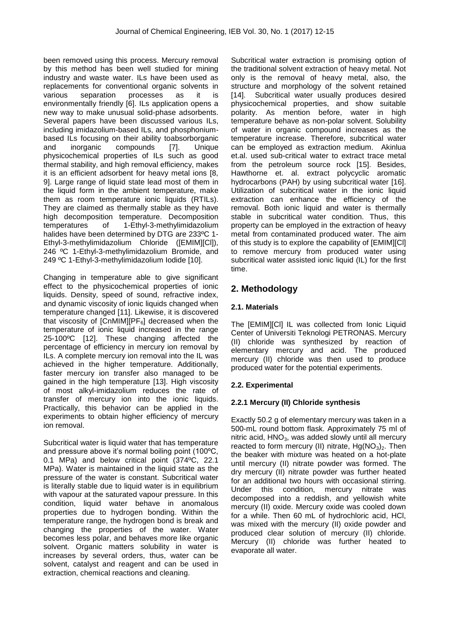been removed using this process. Mercury removal by this method has been well studied for mining industry and waste water. ILs have been used as replacements for conventional organic solvents in various separation processes as it is environmentally friendly [6]. ILs application opens a new way to make unusual solid-phase adsorbents. Several papers have been discussed various ILs, including imidazolium-based ILs, and phosphoniumbased ILs focusing on their ability toabsorborganic and inorganic compounds [7]. Unique physicochemical properties of ILs such as good thermal stability, and high removal efficiency, makes it is an efficient adsorbent for heavy metal ions [8, 9]. Large range of liquid state lead most of them in the liquid form in the ambient temperature, make them as room temperature ionic liquids (RTILs). They are claimed as thermally stable as they have high decomposition temperature. Decomposition temperatures of 1-Ethyl-3-methylimidazolium halides have been determined by DTG are 233ºC 1- Ethyl-3-methylimidazolium Chloride ([EMIM][Cl]), 246 ºC 1-Ethyl-3-methylimidazolium Bromide, and 249 ºC 1-Ethyl-3-methylimidazolium Iodide [10].

Changing in temperature able to give significant effect to the physicochemical properties of ionic liquids. Density, speed of sound, refractive index, and dynamic viscosity of ionic liquids changed when temperature changed [11]. Likewise, it is discovered that viscosity of  $[ChMIM][PF_6]$  decreased when the temperature of ionic liquid increased in the range 25-100ºC [12]. These changing affected the percentage of efficiency in mercury ion removal by ILs. A complete mercury ion removal into the IL was achieved in the higher temperature. Additionally, faster mercury ion transfer also managed to be gained in the high temperature [13]. High viscosity of most alkyl-imidazolium reduces the rate of transfer of mercury ion into the ionic liquids. Practically, this behavior can be applied in the experiments to obtain higher efficiency of mercury ion removal.

Subcritical water is liquid water that has temperature and pressure above it's normal boiling point (100ºC, 0.1 MPa) and below critical point (374ºC, 22.1 MPa). Water is maintained in the liquid state as the pressure of the water is constant. Subcritical water is literally stable due to liquid water is in equilibrium with vapour at the saturated vapour pressure. In this condition, liquid water behave in anomalous properties due to hydrogen bonding. Within the temperature range, the hydrogen bond is break and changing the properties of the water. Water becomes less polar, and behaves more like organic solvent. Organic matters solubility in water is increases by several orders, thus, water can be solvent, catalyst and reagent and can be used in extraction, chemical reactions and cleaning.

Subcritical water extraction is promising option of the traditional solvent extraction of heavy metal. Not only is the removal of heavy metal, also, the structure and morphology of the solvent retained [14]. Subcritical water usually produces desired physicochemical properties, and show suitable polarity. As mention before, water in high temperature behave as non-polar solvent. Solubility of water in organic compound increases as the temperature increase. Therefore, subcritical water can be employed as extraction medium. Akinlua et.al. used sub-critical water to extract trace metal from the petroleum source rock [15]. Besides, Hawthorne et. al. extract polycyclic aromatic hydrocarbons (PAH) by using subcritical water [16]. Utilization of subcritical water in the ionic liquid extraction can enhance the efficiency of the removal. Both ionic liquid and water is thermally stable in subcritical water condition. Thus, this property can be employed in the extraction of heavy metal from contaminated produced water. The aim of this study is to explore the capability of [EMIM][Cl] to remove mercury from produced water using subcritical water assisted ionic liquid (IL) for the first time.

## **2. Methodology**

## **2.1. Materials**

The [EMIM][Cl] IL was collected from Ionic Liquid Center of Universiti Teknologi PETRONAS. Mercury (II) chloride was synthesized by reaction of elementary mercury and acid. The produced mercury (II) chloride was then used to produce produced water for the potential experiments.

## **2.2. Experimental**

## **2.2.1 Mercury (II) Chloride synthesis**

Exactly 50.2 g of elementary mercury was taken in a 500-mL round bottom flask. Approximately 75 ml of nitric acid,  $HNO<sub>3</sub>$ , was added slowly until all mercury reacted to form mercury (II) nitrate,  $Hg(NO<sub>3</sub>)<sub>2</sub>$ . Then the beaker with mixture was heated on a hot-plate until mercury (II) nitrate powder was formed. The dry mercury (II) nitrate powder was further heated for an additional two hours with occasional stirring. Under this condition, mercury nitrate was decomposed into a reddish, and yellowish white mercury (II) oxide. Mercury oxide was cooled down for a while. Then 60 mL of hydrochloric acid, HCl, was mixed with the mercury (II) oxide powder and produced clear solution of mercury (II) chloride. Mercury (II) chloride was further heated to evaporate all water.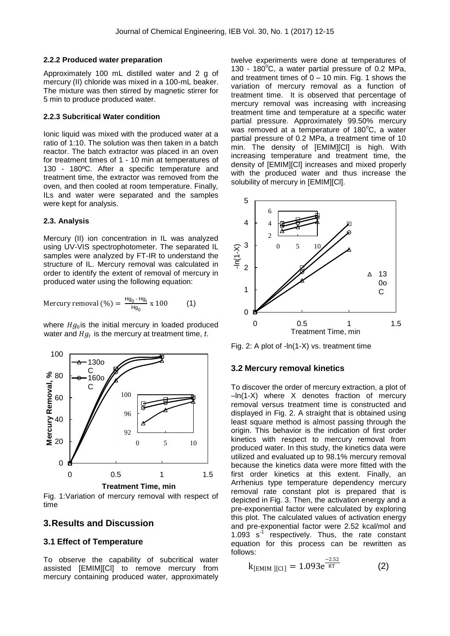#### **2.2.2 Produced water preparation**

Approximately 100 mL distilled water and 2 g of mercury (II) chloride was mixed in a 100-mL beaker. The mixture was then stirred by magnetic stirrer for 5 min to produce produced water.

#### **2.2.3 Subcritical Water condition**

Ionic liquid was mixed with the produced water at a ratio of 1:10. The solution was then taken in a batch reactor. The batch extractor was placed in an oven for treatment times of 1 - 10 min at temperatures of 130 - 180ºC. After a specific temperature and treatment time, the extractor was removed from the oven, and then cooled at room temperature. Finally, ILs and water were separated and the samples were kept for analysis.

#### **2.3. Analysis**

Mercury (II) ion concentration in IL was analyzed using UV-VIS spectrophotometer. The separated IL samples were analyzed by FT-IR to understand the structure of IL. Mercury removal was calculated in order to identify the extent of removal of mercury in produced water using the following equation:

$$
Mercury removal (\% ) = \frac{Hg_0 - Hg_t}{Hg_0} \times 100 \tag{1}
$$

where  $Hg_0$ is the initial mercury in loaded produced water and  $Hg_t$  is the mercury at treatment time, *t*.



Fig. 1:Variation of mercury removal with respect of time

### **3.Results and Discussion**

#### **3.1 Effect of Temperature**

To observe the capability of subcritical water assisted [EMIM][Cl] to remove mercury from mercury containing produced water, approximately twelve experiments were done at temperatures of 130 - 180 $^{\circ}$ C, a water partial pressure of 0.2 MPa, and treatment times of  $0 - 10$  min. Fig. 1 shows the variation of mercury removal as a function of treatment time. It is observed that percentage of mercury removal was increasing with increasing treatment time and temperature at a specific water partial pressure. Approximately 99.50% mercury was removed at a temperature of  $180^{\circ}$ C, a water partial pressure of 0.2 MPa, a treatment time of 10 min. The density of [EMIM][Cl] is high. With increasing temperature and treatment time, the density of [EMIM][Cl] increases and mixed properly with the produced water and thus increase the solubility of mercury in [EMIM][CI].



Fig. 2: A plot of -ln(1-X) vs. treatment time

#### **3.2 Mercury removal kinetics**

To discover the order of mercury extraction, a plot of –ln(1-X) where X denotes fraction of mercury removal versus treatment time is constructed and displayed in Fig. 2. A straight that is obtained using least square method is almost passing through the origin. This behavior is the indication of first order kinetics with respect to mercury removal from produced water. In this study, the kinetics data were utilized and evaluated up to 98.1% mercury removal because the kinetics data were more fitted with the first order kinetics at this extent. Finally, an Arrhenius type temperature dependency mercury removal rate constant plot is prepared that is depicted in Fig. 3. Then, the activation energy and a pre-exponential factor were calculated by exploring this plot. The calculated values of activation energy and pre-exponential factor were 2.52 kcal/mol and 1.093  $s<sup>-1</sup>$  respectively. Thus, the rate constant equation for this process can be rewritten as follows:

$$
k_{[EMIM][CI]} = 1.093e^{\frac{-2.52}{RT}}
$$
 (2)